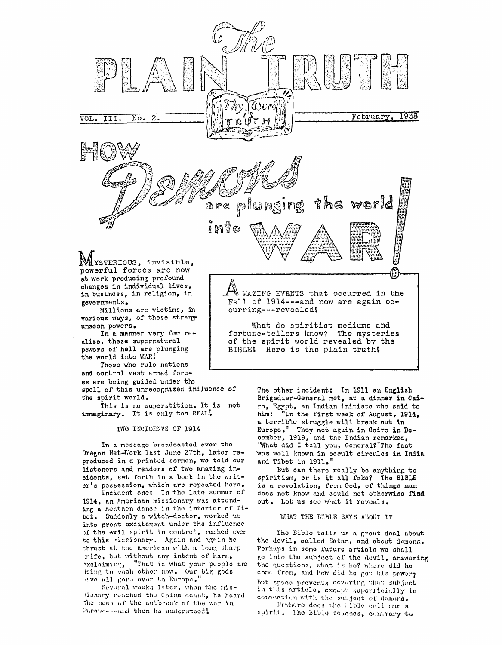

at work producing profound changes in individual lives, in business, in religion, in governments.

various ways, of these strange unseen powers.

alize, these supernatural powers of hell are plunging the world into WAR!

Those who rule nations and control vast armed forc-

es are being guided under the spell of this unrecognized influence of

the spirit world. This is no superstition. It is not

immaginary. It is only too REAL!

TWO INCIDENTS OF 1914

In a message broadcasted ever the Oregon Net-Work last June 27th, later reproduced in a printed sermon, we told our listeners and readers of two amazing incidents, set forth in a book in the writer's possession, which are repeated here.

Incident one: In the late summer of 1914, an American missionary was attending a heathen dance in the interior of Tibet. Suddenly a witch-doctor, worked up into great excitement under the influence of the evil spirit in control, rushed over to this missionary. Again and again ho thrust at the American with a long sharp mife, but without any intent of harm, exclaiming, "That is what your people are loing to each other now. Our big gods avo all gone over to Europe."

Several weeks later, when the misdonary reached the China coast, he heard the nows of the outbreak of the war in 2uropa---and then he understood!

The other incident: In 1911 an English Brigadier-General met, at a dinner in Cairo, Egypt, an Indian initiate who said to<br>him: "In the first week of August, 1914, a terrible struggle will break out in Europo. They met again in Cairo in December, 1919, and the Indian remarked, "What did I tell you, General?"The fact was well known in occult circules in India and Tibet in  $1911 \cdot$ "

But can there really be anything to spiritism, or is it all fake? The BIBLE is a revelation, from God, of things man does not know and could not otherwise find out. Lot us see what it reveals.

VALAT THE BIBLE SAYS ABOUT IT

The Bible tells us a great deal about the devil, called Satan, and about demons. Porhaps in some future article we shall go into the subject of the devil, answering the questions, what is he? where did he come from, and how did he get his power? But space prevents covering that subject in this article, except superficially in connection with the subject of demond.

Hewhoro does the Bible cell man a spirit. The Bible touches, contrary to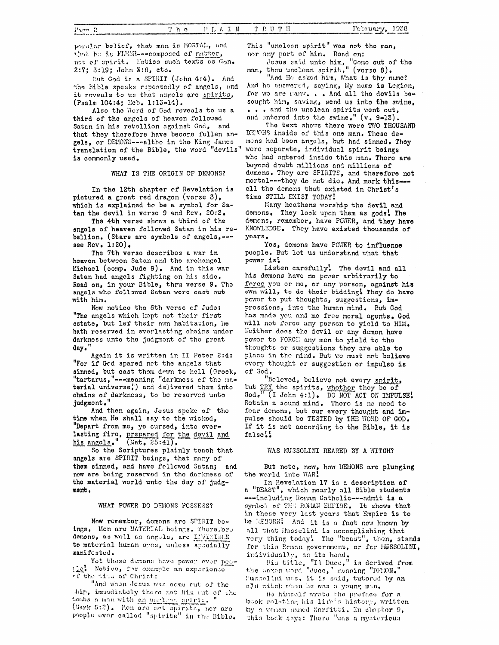poralar bolief, that man is MORTAL, and that he is FLESR---composed of natter. not of spirit. Notice such texts as Gen. 2:7; 3:19; John 3:6, cto.

But God is a SPIRIT (Jehn 4:4). And the Eible speaks repeatedly of angels, and it reveals to us that angels are spirits, (Psalm 104:4; Heb. 1:13-14).

Also the Word of God reveals to us a third of the angels of heaven followed Satan in his retellion against God, and that they therefore have become fallen angels, or DEMONS---altho in the King James<br>translation of the Bible, the word "devils" is commonly used.

## WHAT IS THE ORIGIN OF DEMONS?

In the 12th chapter of Revelation is pictured a great red dragon (verse 3), which is explained to be a symbol for Satan the devil in verse 9 and Rev. 20:2.

The 4th verse shows a third of the angels of heaven followed Satan in his rebellion. (Stars are symbols of angels, --see Rev.  $1:20$ .

The 7th verse describes a war in heaven between Satan and the archangel Michael (comp. Jude 9). And in this war Satan had angels fighting on his side. Read on, in your Bible, thru verse 9. The angels who followed Satan were cast out with him.

Now notice the 6th verse of Jude: "The angels which kept not their first estate, but lef their own habitation, he hath reserved in everlasting chains under darkness unto the judgment of the great day."

Again it is written in II Peter 2:4: "For if Ged spared net the angels that sinned, but cast them down to hell (Greek, "tartarus, "---meaning "darkness of the material universe,") and delivered them into chains of darkness, to be reserved unto judgment."

And then again, Jesus spoke of the time when He shall say to the wicked, "Depart from me, yo cursed, into everlasting fire, prepared for the devil and his angels." (Mat. 25:41).

So the Scriptures plainly teach that angels are SPIRIT beings, that many of them sinned, and have followed Satan; and new are being reserved in the darkness of the material world unto the day of judgment.

## WHAT POWER DO DEMONS POSSESS?

Now remember, demons are SPIRIT beings. Men are MATERIAL beings. There.'ere demons, as well as anguls, are INVISIBLE to material human opes, unless specially manifosted.

Yot those demons have power ever peothe. Notice, for example an experience of the time of Christ:

"And when Josus was come cut of the ship, immodiately there met him out of the tembs a man with an unation, spirit. (Mark 5:2). Men are net spirits, nor are poople ever called "spirits" in the Bible.

This "unclean spirit" was not the man, nor any part of him. Road on:

Jesus said unto him, "Como out of man, theu unclean spirit." (verse 8). "Come out of the

"And He asked him, What is thy name? And he answered, saying, My name is Legion, for we are many. . . And all the devils besought him, saving, send us into the swine. ... and the unclean spirits went out, and entered into the swine." (v. 9-13).

The text shows there were TWO THOUSAND DENONS inside of this one man. These demons had been angels, but had sinned. They were separate, individual spirit beings who had entered inside this man. There are beyond doubt millions and millions of demons. They are SPIRITS, and therefore not mortal --- they do not die. And mark this --all the demons that existed in Christ's time STILL EXIST TODAY!

Many heathens worship the devil and demons. They look upon them as gods. The demons, remember, have POWER, and they have KNOWLEDGE. They have existed thousands of vears.

Yes, demons have POWER to influence people. But let us understand what that power is!

Listen carefully! The devil and all his demons have no power arbitrarily to force you or me, or any person, against his own will, to do their bidding! They do have power to put thoughts, suggestions, impressions, into the human mind. But God has made you and me free moral agents. God will not force any person to yield to HIM. Neither does the devil or any demon have power to FORCE any men to yield to the thoughts or suggestions they are able to place in the mind. But we must not believe every thought or suggestion or impulse is of God.

"Beleved, believe not every spirit, but TRY the spirits, whether they be of God. (I John 4:1). DO NOT ACT ON IMPULSE! Retain a sound mind. There is no need to fear demons, but our every thought and impulse should be TESTED by THE WORD OF GOD. If it is not according to the Bible, it is false!!

## WAS MUSSOLIMI REARED BY A WITCH?

But note, now, how DEMONS are plunging the world into WAR!

In Revelation 17 is a description of a "BEAST", which nearly all Bible students ---including Roman Catholic---admit is a symbol of THE ROMAN EMPIRE. It shows that in these very last years that Empire is to be REBORN! And it is a fact now known by all that Musselini is accomplishing that very thing today! The "beast", then, stands for this Reman government, or for MUSSOLINI, individually, as its head.

His title, "Il Duce," is derived from<br>the taxen word "duce," meaning "DPEON." Husselini was, it is said, tutored by an old witch when he was a young man.

He hinself wrote the preface for a book relating his life's history, written by a weaken mead Sarfitti. In chapter 9, this book says: There "was a mystericus

Page 2